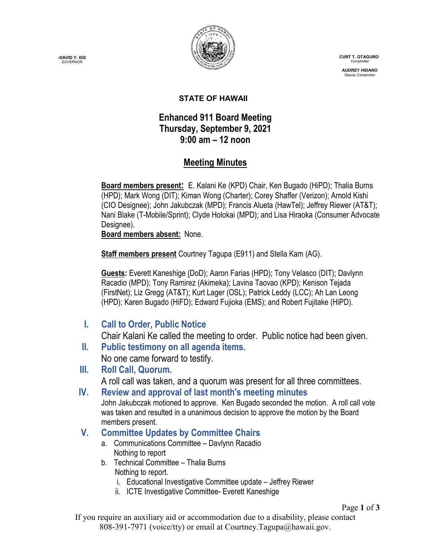**-DAVID Y. IGE GOVERNOR** 



 **CURT T. OTAGURO** Comptrol

 **AUDREY HIDANO** Deputy Comptroll

#### **STATE OF HAWAII**

## **Enhanced 911 Board Meeting Thursday, September 9, 2021 9:00 am – 12 noon**

## **Meeting Minutes**

**Board members present:** E. Kalani Ke (KPD) Chair, Ken Bugado (HiPD); Thalia Burns (HPD); Mark Wong (DIT); Kiman Wong (Charter); Corey Shaffer (Verizon); Arnold Kishi (CIO Designee); John Jakubczak (MPD); Francis Alueta (HawTel); Jeffrey Riewer (AT&T); Nani Blake (T-Mobile/Sprint); Clyde Holokai (MPD); and Lisa Hiraoka (Consumer Advocate Designee).

**Board members absent:** None.

**Staff members present** Courtney Tagupa (E911) and Stella Kam (AG).

**Guests:** Everett Kaneshige (DoD); Aaron Farias (HPD); Tony Velasco (DIT); Davlynn Racadio (MPD); Tony Ramirez (Akimeka); Lavina Taovao (KPD); Kenison Tejada (FirstNet); Liz Gregg (AT&T); Kurt Lager (OSL); Patrick Leddy (LCC); Ah Lan Leong (HPD); Karen Bugado (HiFD); Edward Fujioka (EMS); and Robert Fujitake (HiPD).

**I. Call to Order, Public Notice**

Chair Kalani Ke called the meeting to order. Public notice had been given.

**II. Public testimony on all agenda items.**

No one came forward to testify.

**III. Roll Call, Quorum.**

A roll call was taken, and a quorum was present for all three committees.

**IV. Review and approval of last month's meeting minutes** John Jakubczak motioned to approve. Ken Bugado seconded the motion. A roll call vote was taken and resulted in a unanimous decision to approve the motion by the Board members present.

### **V. Committee Updates by Committee Chairs**

- a. Communications Committee Davlynn Racadio Nothing to report
- b. Technical Committee Thalia Burns Nothing to report.
	- i. Educational Investigative Committee update Jeffrey Riewer
	- ii. ICTE Investigative Committee- Everett Kaneshige

Page **1** of **3**

If you require an auxiliary aid or accommodation due to a disability, please contact 808-391-7971 (voice/tty) or email at Courtney.Tagupa@hawaii.gov.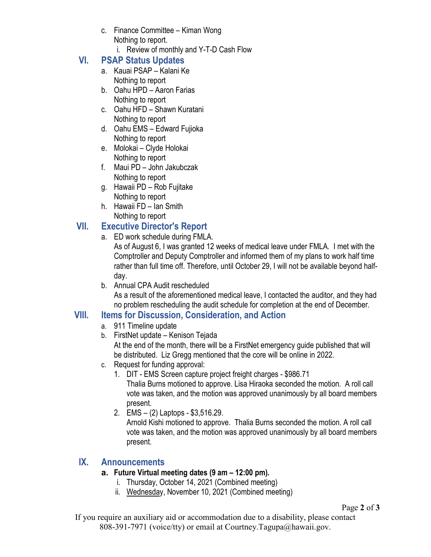- c. Finance Committee Kiman Wong Nothing to report.
	- i. Review of monthly and Y-T-D Cash Flow

# **VI. PSAP Status Updates**

- a. Kauai PSAP Kalani Ke Nothing to report
- b. Oahu HPD Aaron Farias Nothing to report
- c. Oahu HFD Shawn Kuratani Nothing to report
- d. Oahu EMS Edward Fujioka Nothing to report
- e. Molokai Clyde Holokai Nothing to report
- f. Maui PD John Jakubczak Nothing to report
- g. Hawaii PD Rob Fujitake Nothing to report
- h. Hawaii FD Ian Smith Nothing to report

## **VII. Executive Director's Report**

a. ED work schedule during FMLA.

As of August 6, I was granted 12 weeks of medical leave under FMLA. I met with the Comptroller and Deputy Comptroller and informed them of my plans to work half time rather than full time off. Therefore, until October 29, I will not be available beyond halfday.

b. Annual CPA Audit rescheduled As a result of the aforementioned medical leave, I contacted the auditor, and they had no problem rescheduling the audit schedule for completion at the end of December.

## **VIII. Items for Discussion, Consideration, and Action**

- a. 911 Timeline update
- b. FirstNet update Kenison Tejada At the end of the month, there will be a FirstNet emergency guide published that will be distributed. Liz Gregg mentioned that the core will be online in 2022.
- c. Request for funding approval:
	- 1. DIT EMS Screen capture project freight charges \$986.71 Thalia Burns motioned to approve. Lisa Hiraoka seconded the motion. A roll call vote was taken, and the motion was approved unanimously by all board members present.
	- 2. EMS (2) Laptops \$3,516.29. Arnold Kishi motioned to approve. Thalia Burns seconded the motion. A roll call vote was taken, and the motion was approved unanimously by all board members present.

## **IX. Announcements**

### **a. Future Virtual meeting dates (9 am – 12:00 pm).**

- i. Thursday, October 14, 2021 (Combined meeting)
- ii. Wednesday, November 10, 2021 (Combined meeting)

If you require an auxiliary aid or accommodation due to a disability, please contact 808-391-7971 (voice/tty) or email at Courtney.Tagupa@hawaii.gov.